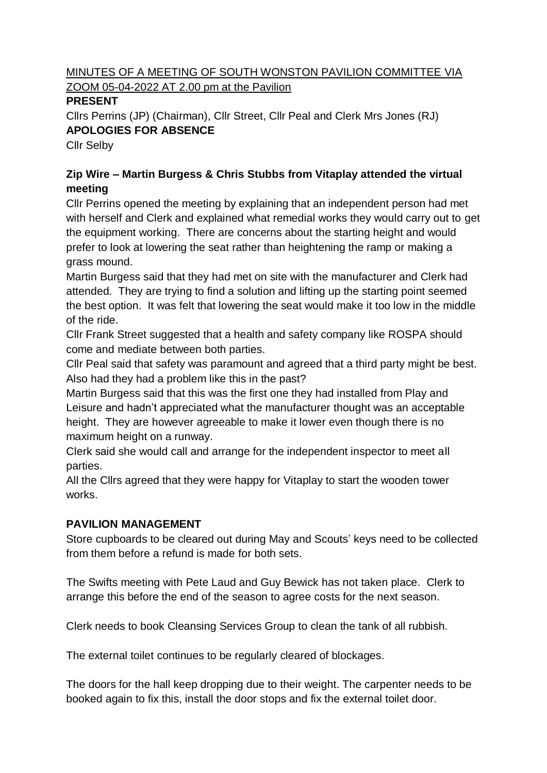## MINUTES OF A MEETING OF SOUTH WONSTON PAVILION COMMITTEE VIA ZOOM 05-04-2022 AT 2.00 pm at the Pavilion

### **PRESENT**

Cllrs Perrins (JP) (Chairman), Cllr Street, Cllr Peal and Clerk Mrs Jones (RJ) **APOLOGIES FOR ABSENCE**

Cllr Selby

# **Zip Wire – Martin Burgess & Chris Stubbs from Vitaplay attended the virtual meeting**

Cllr Perrins opened the meeting by explaining that an independent person had met with herself and Clerk and explained what remedial works they would carry out to get the equipment working. There are concerns about the starting height and would prefer to look at lowering the seat rather than heightening the ramp or making a grass mound.

Martin Burgess said that they had met on site with the manufacturer and Clerk had attended. They are trying to find a solution and lifting up the starting point seemed the best option. It was felt that lowering the seat would make it too low in the middle of the ride.

Cllr Frank Street suggested that a health and safety company like ROSPA should come and mediate between both parties.

Cllr Peal said that safety was paramount and agreed that a third party might be best. Also had they had a problem like this in the past?

Martin Burgess said that this was the first one they had installed from Play and Leisure and hadn't appreciated what the manufacturer thought was an acceptable height. They are however agreeable to make it lower even though there is no maximum height on a runway.

Clerk said she would call and arrange for the independent inspector to meet all parties.

All the Cllrs agreed that they were happy for Vitaplay to start the wooden tower works.

# **PAVILION MANAGEMENT**

Store cupboards to be cleared out during May and Scouts' keys need to be collected from them before a refund is made for both sets.

The Swifts meeting with Pete Laud and Guy Bewick has not taken place. Clerk to arrange this before the end of the season to agree costs for the next season.

Clerk needs to book Cleansing Services Group to clean the tank of all rubbish.

The external toilet continues to be regularly cleared of blockages.

The doors for the hall keep dropping due to their weight. The carpenter needs to be booked again to fix this, install the door stops and fix the external toilet door.